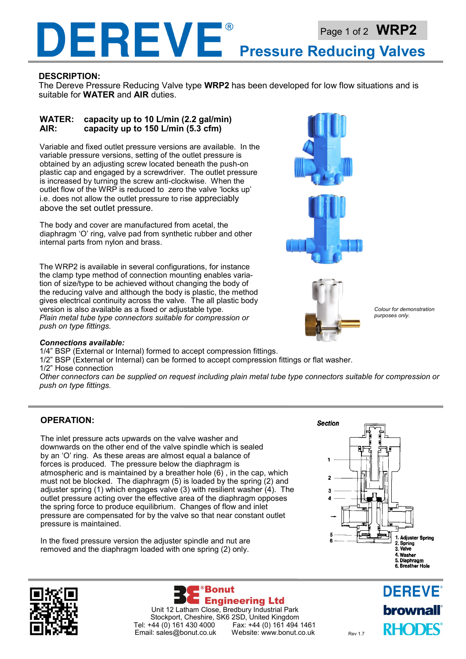## DEREVE® Page 1 of 2 **WRP2 Pressure Reducing Valves**

### **DESCRIPTION:**

The Dereve Pressure Reducing Valve type **WRP2** has been developed for low flow situations and is suitable for **WATER** and **AIR** duties.

### **WATER: capacity up to 10 L/min (2.2 gal/min) AIR: capacity up to 150 L/min (5.3 cfm)**

Variable and fixed outlet pressure versions are available. In the variable pressure versions, setting of the outlet pressure is obtained by an adjusting screw located beneath the push-on plastic cap and engaged by a screwdriver. The outlet pressure is increased by turning the screw anti-clockwise. When the outlet flow of the WRP is reduced to zero the valve 'locks up' i.e. does not allow the outlet pressure to rise appreciably above the set outlet pressure.

The body and cover are manufactured from acetal, the diaphragm 'O' ring, valve pad from synthetic rubber and other internal parts from nylon and brass.

The WRP2 is available in several configurations, for instance the clamp type method of connection mounting enables variation of size/type to be achieved without changing the body of the reducing valve and although the body is plastic, the method gives electrical continuity across the valve. The all plastic body version is also available as a fixed or adjustable type. *Plain metal tube type connectors suitable for compression or push on type fittings.* 





*Colour for demonstration purposes only.* 

#### *Connections available:*

1/4" BSP (External or Internal) formed to accept compression fittings.

1/2" BSP (External or Internal) can be formed to accept compression fittings or flat washer. 1/2" Hose connection

*Other connectors can be supplied on request including plain metal tube type connectors suitable for compression or push on type fittings.* 

### **OPERATION:**

The inlet pressure acts upwards on the valve washer and downwards on the other end of the valve spindle which is sealed by an 'O' ring. As these areas are almost equal a balance of forces is produced. The pressure below the diaphragm is atmospheric and is maintained by a breather hole  $(6)$ , in the cap, which must not be blocked. The diaphragm (5) is loaded by the spring (2) and adjuster spring (1) which engages valve (3) with resilient washer (4). The outlet pressure acting over the effective area of the diaphragm opposes the spring force to produce equilibrium. Changes of flow and inlet pressure are compensated for by the valve so that near constant outlet pressure is maintained.

In the fixed pressure version the adjuster spindle and nut are removed and the diaphragm loaded with one spring (2) only.







**DEREVE brownall RHODES**